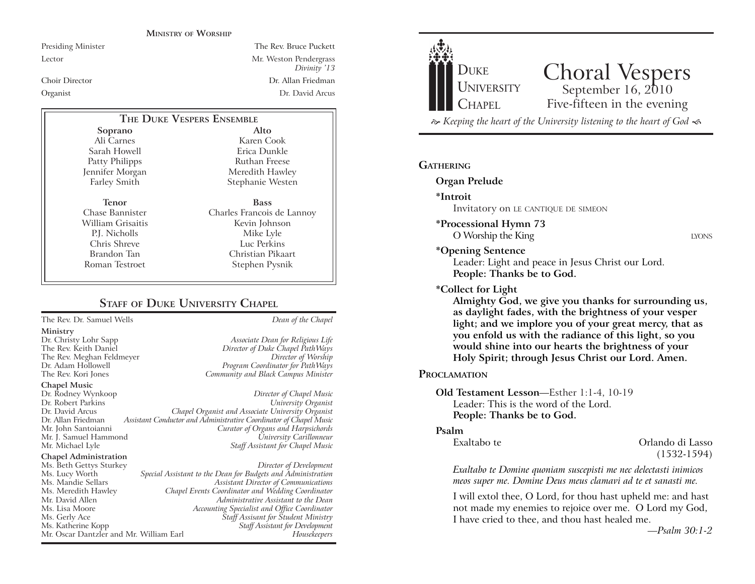#### **MINISTRY OF WORSHIP**

Presiding Minister The Rev. Bruce Puckett Lector Mr. Weston Pendergrass *Divinity* '13 Choir Director Dr. Allan Friedman Organist Dr. David Arcus

### **Alto THE DUKE VESPERS ENSEMBLE**

**Soprano** Ali Carnes Sarah Howell Patty Philipps Jennifer Morgan Farley Smith

**Tenor** Chase Bannister William Grisaitis P.J. Nicholls Chris Shreve Brandon Tan Roman Testroet

Karen Cook Erica Dunkle Ruthan Freese Meredith Hawley Stephanie Westen **Bass** Charles Francois de Lannoy Kevin Johnson

Mike Lyle Luc Perkins Christian Pikaart Stephen Pysnik

# **STAFF OF DUKE UNIVERSITY CHAPEL**

The Rev. Dr. Samuel Wells *Dean of the Chapel*

#### **Ministry**

#### **Chapel Music**

Dr. Rodney Wynkoop *Director of Chapel Music* Dr. Robert Parkins<br>Dr. David Arcus Dr. David Arcus *Chapel Organist and Associate University Organist* Assistant Conductor and Administrative Coordinator of Chapel Music Mr. John Santoianni *Curator of Organs and Harpsichords* Mr. J. Samuel Hammond *University Carillonneur*

#### **Chapel Administration**

Ms. Beth Gettys Sturkey *Director of Development* Mr. Oscar Dantzler and Mr. William Earl *Housekeepers*

Dr. Christy Lohr Sapp *Associate Dean for Religious Life* Director of Duke Chapel PathWays The Rev. Meghan Feldmeyer *Director of Worship* Dr. Adam Hollowell *Program Coordinator for PathWays* Community and Black Campus Minister

**Staff Assistant for Chapel Music** 

### Ms. Lucy Worth *Special Assistant to the Dean for Budgets and Administration* Ms. Mandie Sellars *Assistant Director of Communications* Ms. Meredith Hawley *Chapel Events Coordinator and Wedding Coordinator* Mr. David Allen *Administrative Assistant to the Dean* Ms. Lisa Moore *Accounting Specialist and Office Coordinator* Ms. Gerly Ace *Staff Assisant for Student Ministry* Staff Assistant for Development



 $\approx$  Keeping the heart of the University listening to the heart of God  $\ll$ 

## **GATHERING**

### **Organ Prelude**

**\*Introit** 

Invitatory on LE CANTIQUE DE SIMEON

- **\*Processional Hymn 73** O Worship the King LYONS
	-

## **\*Opening Sentence**

Leader: Light and peace in Jesus Christ our Lord. **People: Thanks be to God.**

### **\*Collect for Light**

**Almighty God, we give you thanks for surrounding us, as daylight fades, with the brightness of your vesper light; and we implore you of your great mercy, that as you enfold us with the radiance of this light, so you would shine into our hearts the brightness of your Holy Spirit; through Jesus Christ our Lord. Amen.** 

## **PROCLAMATION**

### **Old Testament Lesson—Esther 1:1-4, 10-19** Leader: This is the word of the Lord. **People: Thanks be to God.**

#### **Psalm**

Exaltabo te Orlando di Lasso (1532-1594)

*Exaltabo te Domine quoniam suscepisti me nec delectasti inimicos meos super me. Domine Deus meus clamavi ad te et sanasti me.*

I will extol thee, O Lord, for thou hast upheld me: and hast not made my enemies to rejoice over me. O Lord my God, I have cried to thee, and thou hast healed me.